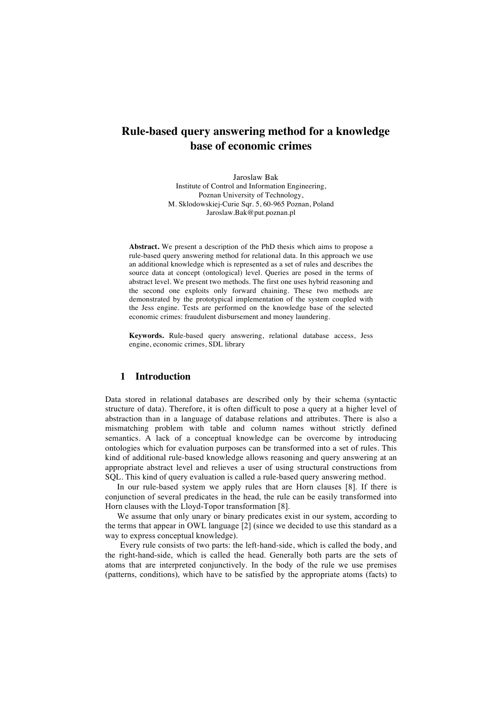# **Rule-based query answering method for a knowledge base of economic crimes**

Jaroslaw Bak Institute of Control and Information Engineering, Poznan University of Technology, M. Sklodowskiej-Curie Sqr. 5, 60-965 Poznan, Poland Jaroslaw.Bak@put.poznan.pl

**Abstract.** We present a description of the PhD thesis which aims to propose a rule-based query answering method for relational data. In this approach we use an additional knowledge which is represented as a set of rules and describes the source data at concept (ontological) level. Queries are posed in the terms of abstract level. We present two methods. The first one uses hybrid reasoning and the second one exploits only forward chaining. These two methods are demonstrated by the prototypical implementation of the system coupled with the Jess engine. Tests are performed on the knowledge base of the selected economic crimes: fraudulent disbursement and money laundering.

**Keywords.** Rule-based query answering, relational database access, Jess engine, economic crimes, SDL library

# **1 Introduction**

Data stored in relational databases are described only by their schema (syntactic structure of data). Therefore, it is often difficult to pose a query at a higher level of abstraction than in a language of database relations and attributes. There is also a mismatching problem with table and column names without strictly defined semantics. A lack of a conceptual knowledge can be overcome by introducing ontologies which for evaluation purposes can be transformed into a set of rules. This kind of additional rule-based knowledge allows reasoning and query answering at an appropriate abstract level and relieves a user of using structural constructions from SQL. This kind of query evaluation is called a rule-based query answering method.

In our rule-based system we apply rules that are Horn clauses [8]. If there is conjunction of several predicates in the head, the rule can be easily transformed into Horn clauses with the Lloyd-Topor transformation [8].

We assume that only unary or binary predicates exist in our system, according to the terms that appear in OWL language [2] (since we decided to use this standard as a way to express conceptual knowledge).

Every rule consists of two parts: the left-hand-side, which is called the body, and the right-hand-side, which is called the head. Generally both parts are the sets of atoms that are interpreted conjunctively. In the body of the rule we use premises (patterns, conditions), which have to be satisfied by the appropriate atoms (facts) to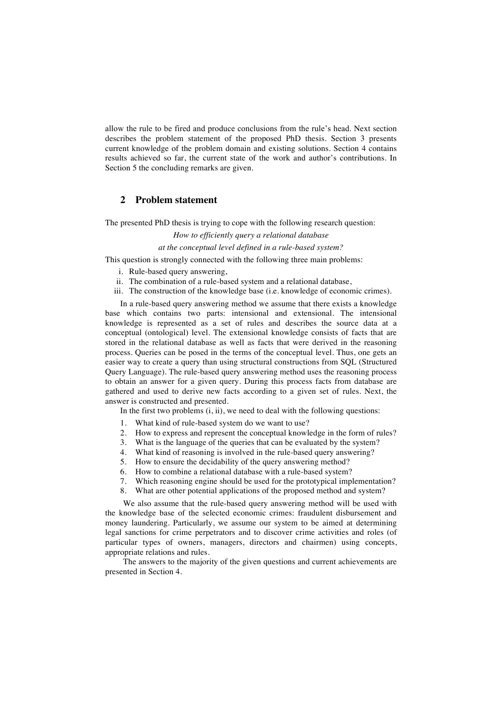allow the rule to be fired and produce conclusions from the rule's head. Next section describes the problem statement of the proposed PhD thesis. Section 3 presents current knowledge of the problem domain and existing solutions. Section 4 contains results achieved so far, the current state of the work and author's contributions. In Section 5 the concluding remarks are given.

# **2 Problem statement**

The presented PhD thesis is trying to cope with the following research question:

*How to efficiently query a relational database* 

*at the conceptual level defined in a rule-based system?*

This question is strongly connected with the following three main problems:

- i. Rule-based query answering,
- ii. The combination of a rule-based system and a relational database,
- iii. The construction of the knowledge base (i.e. knowledge of economic crimes).

In a rule-based query answering method we assume that there exists a knowledge base which contains two parts: intensional and extensional. The intensional knowledge is represented as a set of rules and describes the source data at a conceptual (ontological) level. The extensional knowledge consists of facts that are stored in the relational database as well as facts that were derived in the reasoning process. Queries can be posed in the terms of the conceptual level. Thus, one gets an easier way to create a query than using structural constructions from SQL (Structured Query Language). The rule-based query answering method uses the reasoning process to obtain an answer for a given query. During this process facts from database are gathered and used to derive new facts according to a given set of rules. Next, the answer is constructed and presented.

In the first two problems  $(i, ii)$ , we need to deal with the following questions:

- 1. What kind of rule-based system do we want to use?
- 2. How to express and represent the conceptual knowledge in the form of rules?
- 3. What is the language of the queries that can be evaluated by the system?
- 4. What kind of reasoning is involved in the rule-based query answering?
- 5. How to ensure the decidability of the query answering method?
- 6. How to combine a relational database with a rule-based system?
- 7. Which reasoning engine should be used for the prototypical implementation?
- What are other potential applications of the proposed method and system?

We also assume that the rule-based query answering method will be used with the knowledge base of the selected economic crimes: fraudulent disbursement and money laundering. Particularly, we assume our system to be aimed at determining legal sanctions for crime perpetrators and to discover crime activities and roles (of particular types of owners, managers, directors and chairmen) using concepts, appropriate relations and rules.

The answers to the majority of the given questions and current achievements are presented in Section 4.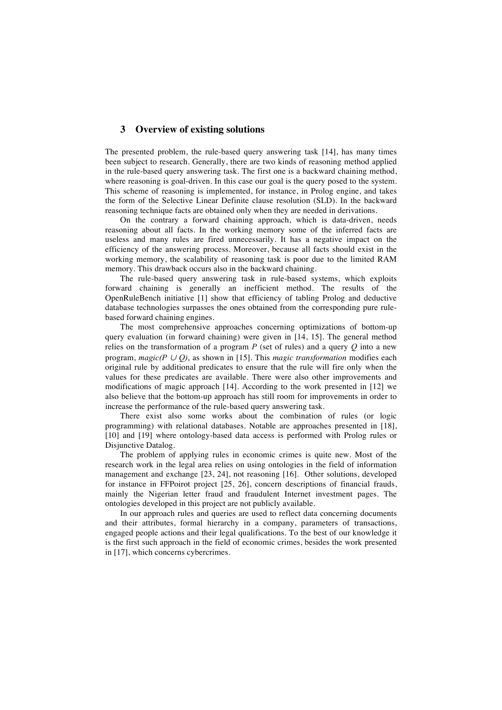## **3 Overview of existing solutions**

The presented problem, the rule-based query answering task [14], has many times been subject to research. Generally, there are two kinds of reasoning method applied in the rule-based query answering task. The first one is a backward chaining method, where reasoning is goal-driven. In this case our goal is the query posed to the system. This scheme of reasoning is implemented, for instance, in Prolog engine, and takes the form of the Selective Linear Definite clause resolution (SLD). In the backward reasoning technique facts are obtained only when they are needed in derivations.

On the contrary a forward chaining approach, which is data-driven, needs reasoning about all facts. In the working memory some of the inferred facts are useless and many rules are fired unnecessarily. It has a negative impact on the efficiency of the answering process. Moreover, because all facts should exist in the working memory, the scalability of reasoning task is poor due to the limited RAM memory. This drawback occurs also in the backward chaining.

The rule-based query answering task in rule-based systems, which exploits forward chaining is generally an inefficient method. The results of the OpenRuleBench initiative [1] show that efficiency of tabling Prolog and deductive database technologies surpasses the ones obtained from the corresponding pure rulebased forward chaining engines.

The most comprehensive approaches concerning optimizations of bottom-up query evaluation (in forward chaining) were given in [14, 15]. The general method relies on the transformation of a program *P* (set of rules) and a query *Q* into a new program, *magic(P* <sup>∪</sup> *Q)*, as shown in [15]. This *magic transformation* modifies each original rule by additional predicates to ensure that the rule will fire only when the values for these predicates are available. There were also other improvements and modifications of magic approach [14]. According to the work presented in [12] we also believe that the bottom-up approach has still room for improvements in order to increase the performance of the rule-based query answering task.

There exist also some works about the combination of rules (or logic programming) with relational databases. Notable are approaches presented in [18], [10] and [19] where ontology-based data access is performed with Prolog rules or Disjunctive Datalog.

The problem of applying rules in economic crimes is quite new. Most of the research work in the legal area relies on using ontologies in the field of information management and exchange [23, 24], not reasoning [16]. Other solutions, developed for instance in FFPoirot project [25, 26], concern descriptions of financial frauds, mainly the Nigerian letter fraud and fraudulent Internet investment pages. The ontologies developed in this project are not publicly available.

In our approach rules and queries are used to reflect data concerning documents and their attributes, formal hierarchy in a company, parameters of transactions, engaged people actions and their legal qualifications. To the best of our knowledge it is the first such approach in the field of economic crimes, besides the work presented in [17], which concerns cybercrimes.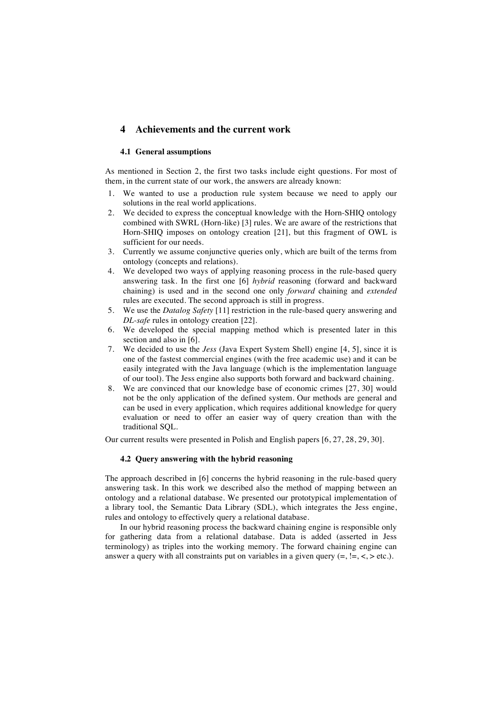# **4 Achievements and the current work**

## **4.1 General assumptions**

As mentioned in Section 2, the first two tasks include eight questions. For most of them, in the current state of our work, the answers are already known:

- 1. We wanted to use a production rule system because we need to apply our solutions in the real world applications.
- 2. We decided to express the conceptual knowledge with the Horn-SHIQ ontology combined with SWRL (Horn-like) [3] rules. We are aware of the restrictions that Horn-SHIQ imposes on ontology creation [21], but this fragment of OWL is sufficient for our needs.
- 3. Currently we assume conjunctive queries only, which are built of the terms from ontology (concepts and relations).
- 4. We developed two ways of applying reasoning process in the rule-based query answering task. In the first one [6] *hybrid* reasoning (forward and backward chaining) is used and in the second one only *forward* chaining and *extended* rules are executed. The second approach is still in progress.
- 5. We use the *Datalog Safety* [11] restriction in the rule-based query answering and *DL-safe* rules in ontology creation [22].
- 6. We developed the special mapping method which is presented later in this section and also in [6].
- 7. We decided to use the *Jess* (Java Expert System Shell) engine [4, 5], since it is one of the fastest commercial engines (with the free academic use) and it can be easily integrated with the Java language (which is the implementation language of our tool). The Jess engine also supports both forward and backward chaining.
- 8. We are convinced that our knowledge base of economic crimes [27, 30] would not be the only application of the defined system. Our methods are general and can be used in every application, which requires additional knowledge for query evaluation or need to offer an easier way of query creation than with the traditional SQL.

Our current results were presented in Polish and English papers [6, 27, 28, 29, 30].

#### **4.2 Query answering with the hybrid reasoning**

The approach described in [6] concerns the hybrid reasoning in the rule-based query answering task. In this work we described also the method of mapping between an ontology and a relational database. We presented our prototypical implementation of a library tool, the Semantic Data Library (SDL), which integrates the Jess engine, rules and ontology to effectively query a relational database.

In our hybrid reasoning process the backward chaining engine is responsible only for gathering data from a relational database. Data is added (asserted in Jess terminology) as triples into the working memory. The forward chaining engine can answer a query with all constraints put on variables in a given query  $(=, |=, <, > \text{etc.})$ .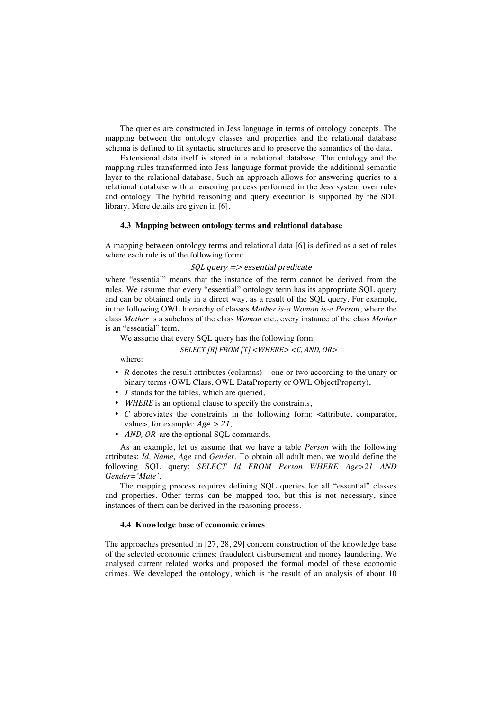The queries are constructed in Jess language in terms of ontology concepts. The mapping between the ontology classes and properties and the relational database schema is defined to fit syntactic structures and to preserve the semantics of the data.

Extensional data itself is stored in a relational database. The ontology and the mapping rules transformed into Jess language format provide the additional semantic layer to the relational database. Such an approach allows for answering queries to a relational database with a reasoning process performed in the Jess system over rules and ontology. The hybrid reasoning and query execution is supported by the SDL library. More details are given in [6].

## **4.3 Mapping between ontology terms and relational database**

A mapping between ontology terms and relational data [6] is defined as a set of rules where each rule is of the following form:

#### $SOL$  query  $\Rightarrow$  essential predicate

where "essential" means that the instance of the term cannot be derived from the rules. We assume that every "essential" ontology term has its appropriate SQL query and can be obtained only in a direct way, as a result of the SQL query. For example, in the following OWL hierarchy of classes *Mother is-a Woman is-a Person*, where the class *Mother* is a subclass of the class *Woman* etc., every instance of the class *Mother*  is an "essential" term.

We assume that every SQL query has the following form:

#### SELECT [R] FROM [T] <WHERE> <C, AND, OR>

where:

- *R* denotes the result attributes (columns) one or two according to the unary or binary terms (OWL Class, OWL DataProperty or OWL ObjectProperty),
- *T* stands for the tables, which are queried,
- WHERE is an optional clause to specify the constraints,
- *C* abbreviates the constraints in the following form: <attribute, comparator, value>, for example:  $Age > 21$ ,
- *AND, OR* are the optional SQL commands.

As an example, let us assume that we have a table *Person* with the following attributes: *Id, Name, Age* and *Gender*. To obtain all adult men, we would define the following SQL query: *SELECT Id FROM Person WHERE Age>21 AND Gender='Male'.*

The mapping process requires defining SQL queries for all "essential" classes and properties. Other terms can be mapped too, but this is not necessary, since instances of them can be derived in the reasoning process.

### **4.4 Knowledge base of economic crimes**

The approaches presented in [27, 28, 29] concern construction of the knowledge base of the selected economic crimes: fraudulent disbursement and money laundering. We analysed current related works and proposed the formal model of these economic crimes. We developed the ontology, which is the result of an analysis of about 10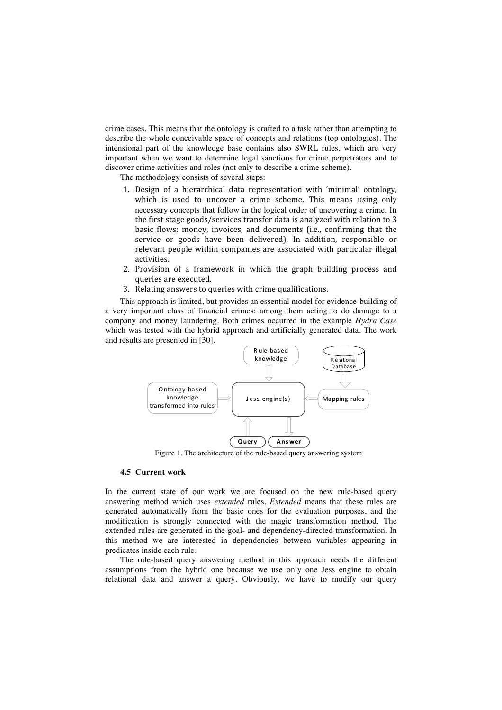crime cases. This means that the ontology is crafted to a task rather than attempting to describe the whole conceivable space of concepts and relations (top ontologies). The intensional part of the knowledge base contains also SWRL rules, which are very important when we want to determine legal sanctions for crime perpetrators and to discover crime activities and roles (not only to describe a crime scheme).

The methodology consists of several steps:

- 1. Design
 of
 a
 hierarchical
 data
 representation
 with 'minimal' ontology, which is used to uncover a crime scheme. This means using only necessary concepts that follow in the logical order of uncovering a crime. In the first stage goods/services transfer data is analyzed with relation to 3 basic
 flows:
 money, invoices,
 and
 documents
 (i.e., confirming
 that
 the service
 or
 goods
 have
 been delivered). In
 addition, responsible
 or relevant
people
within
companies
are
associated
with particular
illegal activities.
- 2. Provision
 of
 a
 framework
 in
 which
 the
 graph
 building
 process
 and queries are
executed.
- 3. Relating
answers
to
queries
with
crime
qualifications.

This approach is limited, but provides an essential model for evidence-building of a very important class of financial crimes: among them acting to do damage to a company and money laundering. Both crimes occurred in the example *Hydra Case* which was tested with the hybrid approach and artificially generated data. The work and results are presented in [30].



Figure 1. The architecture of the rule-based query answering system

#### **4.5 Current work**

In the current state of our work we are focused on the new rule-based query answering method which uses *extended* rules. *Extended* means that these rules are generated automatically from the basic ones for the evaluation purposes, and the modification is strongly connected with the magic transformation method. The extended rules are generated in the goal- and dependency-directed transformation. In this method we are interested in dependencies between variables appearing in predicates inside each rule.

The rule-based query answering method in this approach needs the different assumptions from the hybrid one because we use only one Jess engine to obtain relational data and answer a query. Obviously, we have to modify our query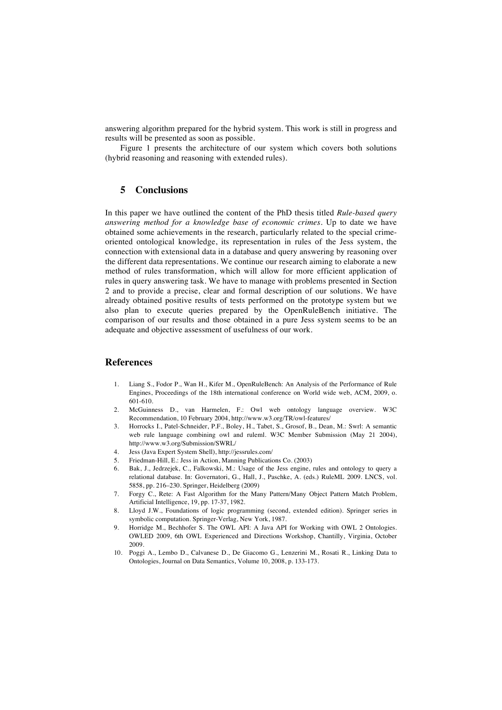answering algorithm prepared for the hybrid system. This work is still in progress and results will be presented as soon as possible.

Figure 1 presents the architecture of our system which covers both solutions (hybrid reasoning and reasoning with extended rules).

# **5 Conclusions**

In this paper we have outlined the content of the PhD thesis titled *Rule-based query answering method for a knowledge base of economic crimes*. Up to date we have obtained some achievements in the research, particularly related to the special crimeoriented ontological knowledge, its representation in rules of the Jess system, the connection with extensional data in a database and query answering by reasoning over the different data representations. We continue our research aiming to elaborate a new method of rules transformation, which will allow for more efficient application of rules in query answering task. We have to manage with problems presented in Section 2 and to provide a precise, clear and formal description of our solutions. We have already obtained positive results of tests performed on the prototype system but we also plan to execute queries prepared by the OpenRuleBench initiative. The comparison of our results and those obtained in a pure Jess system seems to be an adequate and objective assessment of usefulness of our work.

## **References**

- 1. Liang S., Fodor P., Wan H., Kifer M., OpenRuleBench: An Analysis of the Performance of Rule Engines, Proceedings of the 18th international conference on World wide web, ACM, 2009, o. 601-610.
- 2. McGuinness D., van Harmelen, F.: Owl web ontology language overview. W3C Recommendation, 10 February 2004, http://www.w3.org/TR/owl-features/
- 3. Horrocks I., Patel-Schneider, P.F., Boley, H., Tabet, S., Grosof, B., Dean, M.: Swrl: A semantic web rule language combining owl and ruleml. W3C Member Submission (May 21 2004), http://www.w3.org/Submission/SWRL/
- 4. Jess (Java Expert System Shell), http://jessrules.com/
- 5. Friedman-Hill, E.: Jess in Action, Manning Publications Co. (2003)
- 6. Bak, J., Jedrzejek, C., Falkowski, M.: Usage of the Jess engine, rules and ontology to query a relational database. In: Governatori, G., Hall, J., Paschke, A. (eds.) RuleML 2009. LNCS, vol. 5858, pp. 216–230. Springer, Heidelberg (2009)
- 7. Forgy C., Rete: A Fast Algorithm for the Many Pattern/Many Object Pattern Match Problem, Artificial Intelligence, 19, pp. 17-37, 1982.
- 8. Lloyd J.W., Foundations of logic programming (second, extended edition). Springer series in symbolic computation. Springer-Verlag, New York, 1987.
- 9. Horridge M., Bechhofer S. The OWL API: A Java API for Working with OWL 2 Ontologies. OWLED 2009, 6th OWL Experienced and Directions Workshop, Chantilly, Virginia, October 2009.
- 10. Poggi A., Lembo D., Calvanese D., De Giacomo G., Lenzerini M., Rosati R., Linking Data to Ontologies, Journal on Data Semantics, Volume 10, 2008, p. 133-173.